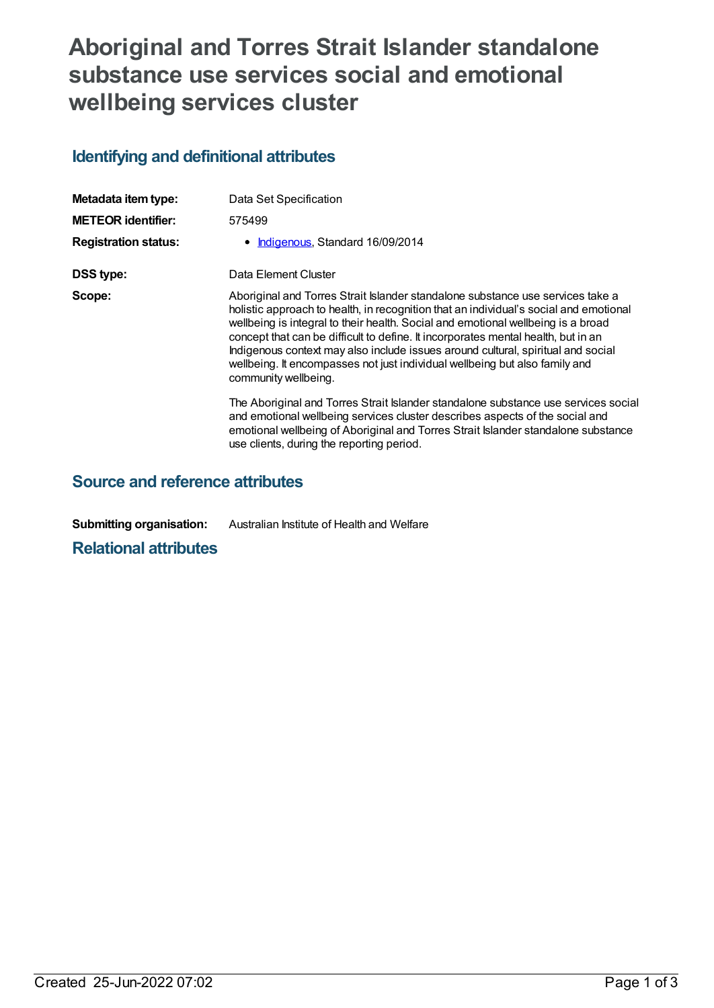## **Aboriginal and Torres Strait Islander standalone substance use services social and emotional wellbeing services cluster**

## **Identifying and definitional attributes**

| Metadata item type:         | Data Set Specification                                                                                                                                                                                                                                                                                                                                                                                                                                                                                                                      |
|-----------------------------|---------------------------------------------------------------------------------------------------------------------------------------------------------------------------------------------------------------------------------------------------------------------------------------------------------------------------------------------------------------------------------------------------------------------------------------------------------------------------------------------------------------------------------------------|
| <b>METEOR identifier:</b>   | 575499                                                                                                                                                                                                                                                                                                                                                                                                                                                                                                                                      |
| <b>Registration status:</b> | • Indigenous, Standard 16/09/2014                                                                                                                                                                                                                                                                                                                                                                                                                                                                                                           |
| DSS type:                   | Data Element Cluster                                                                                                                                                                                                                                                                                                                                                                                                                                                                                                                        |
| Scope:                      | Aboriginal and Torres Strait Islander standalone substance use services take a<br>holistic approach to health, in recognition that an individual's social and emotional<br>wellbeing is integral to their health. Social and emotional wellbeing is a broad<br>concept that can be difficult to define. It incorporates mental health, but in an<br>Indigenous context may also include issues around cultural, spiritual and social<br>wellbeing. It encompasses not just individual wellbeing but also family and<br>community wellbeing. |
|                             | The Aboriginal and Torres Strait Islander standalone substance use services social<br>and emotional wellbeing services cluster describes aspects of the social and<br>emotional wellbeing of Aboriginal and Torres Strait Islander standalone substance<br>use clients, during the reporting period.                                                                                                                                                                                                                                        |

## **Source and reference attributes**

**Submitting organisation:** Australian Institute of Health and Welfare

**Relational attributes**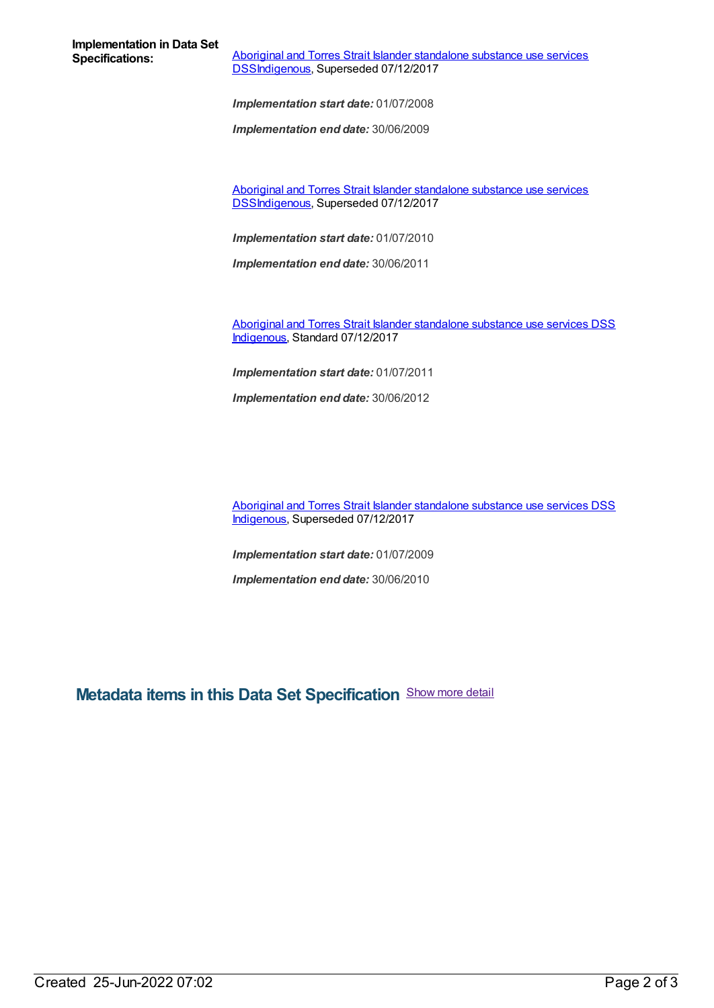**Implementation in Data Set**

**Aboriginal and Torres Strait Islander standalone substance use services** [DSSIndigenous,](https://meteor.aihw.gov.au/content/664760) Superseded 07/12/2017

*Implementation start date:* 01/07/2008

*Implementation end date:* 30/06/2009

Aboriginal and Torres Strait Islander standalone substance use services [DSSIndigenous,](https://meteor.aihw.gov.au/content/561172) Superseded 07/12/2017

*Implementation start date:* 01/07/2010

*Implementation end date:* 30/06/2011

Aboriginal and Torres Strait Islander [standalone](https://meteor.aihw.gov.au/content/664879) substance use services DSS [Indigenous](https://meteor.aihw.gov.au/RegistrationAuthority/6), Standard 07/12/2017

*Implementation start date:* 01/07/2011

*Implementation end date:* 30/06/2012

Aboriginal and Torres Strait Islander [standalone](https://meteor.aihw.gov.au/content/664861) substance use services DSS [Indigenous](https://meteor.aihw.gov.au/RegistrationAuthority/6), Superseded 07/12/2017

*Implementation start date:* 01/07/2009

*Implementation end date:* 30/06/2010

**Metadata items in this Data Set Specification** Show more detail